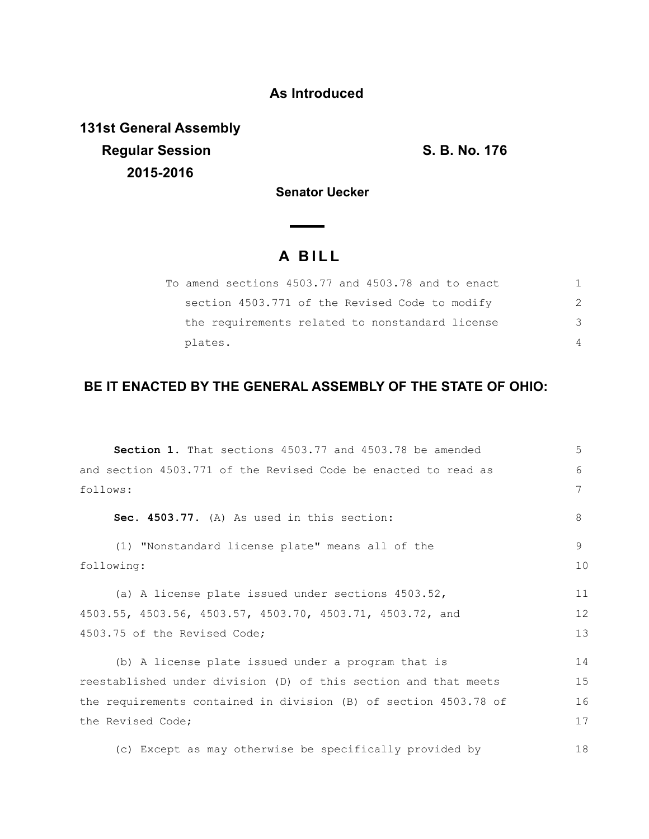## **As Introduced**

**131st General Assembly Regular Session S. B. No. 176 2015-2016**

**Senator Uecker** 

## **A B I L L**

 $\sim$  $\sim$ 

| To amend sections 4503.77 and 4503.78 and to enact |               |
|----------------------------------------------------|---------------|
| section 4503.771 of the Revised Code to modify     | $\mathcal{P}$ |
| the requirements related to nonstandard license    | 3             |
| plates.                                            | 4             |

## **BE IT ENACTED BY THE GENERAL ASSEMBLY OF THE STATE OF OHIO:**

| <b>Section 1.</b> That sections 4503.77 and 4503.78 be amended   | 5  |  |
|------------------------------------------------------------------|----|--|
| and section 4503.771 of the Revised Code be enacted to read as   | 6  |  |
| follows:                                                         |    |  |
| Sec. 4503.77. (A) As used in this section:                       | 8  |  |
| (1) "Nonstandard license plate" means all of the                 | 9  |  |
| following:                                                       |    |  |
| (a) A license plate issued under sections 4503.52,               | 11 |  |
| 4503.55, 4503.56, 4503.57, 4503.70, 4503.71, 4503.72, and        |    |  |
| 4503.75 of the Revised Code;                                     |    |  |
| (b) A license plate issued under a program that is               | 14 |  |
| reestablished under division (D) of this section and that meets  | 15 |  |
| the requirements contained in division (B) of section 4503.78 of | 16 |  |
| the Revised Code;                                                | 17 |  |
| (c) Except as may otherwise be specifically provided by          | 18 |  |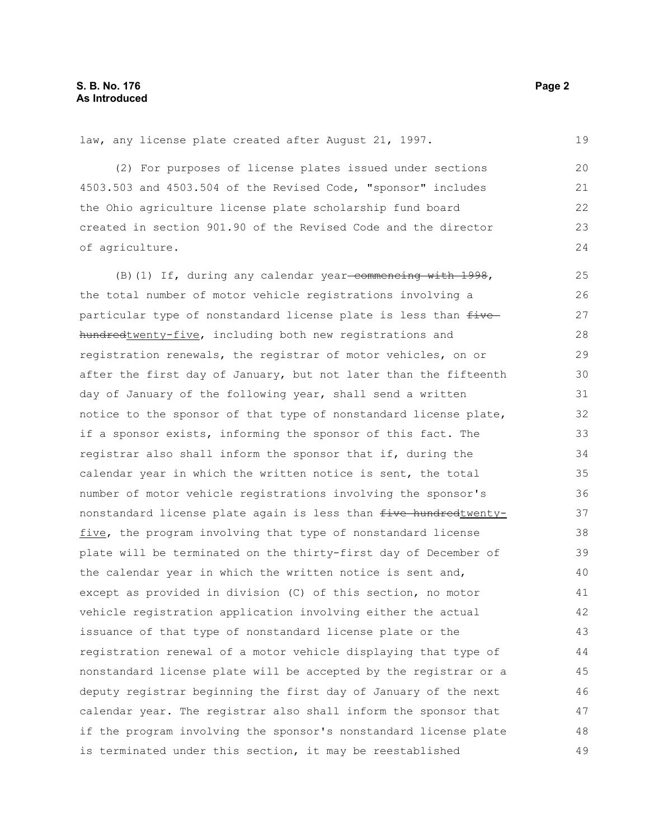law, any license plate created after August 21, 1997.

(2) For purposes of license plates issued under sections 4503.503 and 4503.504 of the Revised Code, "sponsor" includes the Ohio agriculture license plate scholarship fund board created in section 901.90 of the Revised Code and the director of agriculture. 20 21 22 23 24

 $(B)$  (1) If, during any calendar year-commencing with 1998, the total number of motor vehicle registrations involving a particular type of nonstandard license plate is less than  $f$ ivehundredtwenty-five, including both new registrations and registration renewals, the registrar of motor vehicles, on or after the first day of January, but not later than the fifteenth day of January of the following year, shall send a written notice to the sponsor of that type of nonstandard license plate, if a sponsor exists, informing the sponsor of this fact. The registrar also shall inform the sponsor that if, during the calendar year in which the written notice is sent, the total number of motor vehicle registrations involving the sponsor's nonstandard license plate again is less than five hundredtwentyfive, the program involving that type of nonstandard license plate will be terminated on the thirty-first day of December of the calendar year in which the written notice is sent and, except as provided in division (C) of this section, no motor vehicle registration application involving either the actual issuance of that type of nonstandard license plate or the registration renewal of a motor vehicle displaying that type of nonstandard license plate will be accepted by the registrar or a deputy registrar beginning the first day of January of the next calendar year. The registrar also shall inform the sponsor that if the program involving the sponsor's nonstandard license plate is terminated under this section, it may be reestablished 25 26 27 28 29 30 31 32 33 34 35 36 37 38 39 40 41 42 43 44 45 46 47 48 49

19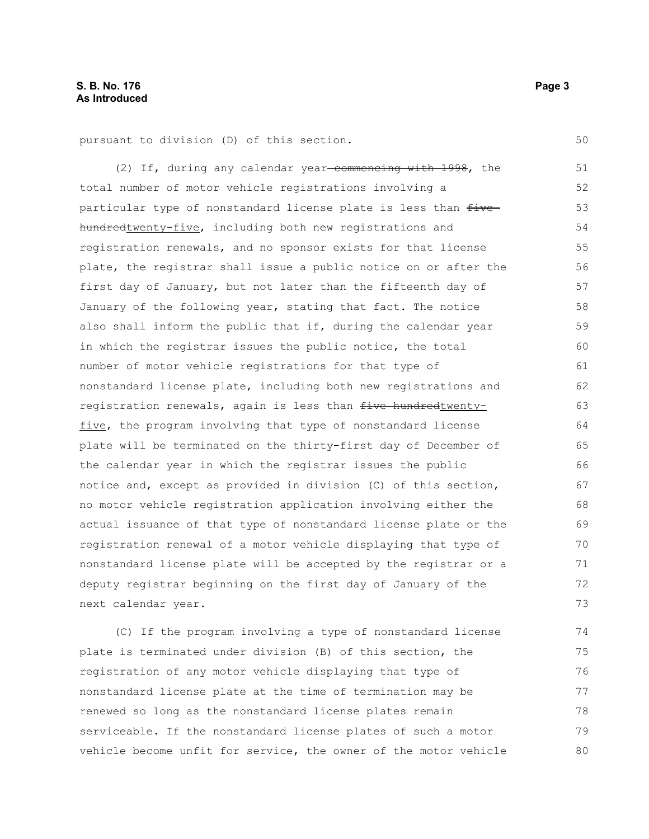pursuant to division (D) of this section.

(2) If, during any calendar year-commencing with 1998, the total number of motor vehicle registrations involving a particular type of nonstandard license plate is less than  $f$ ivehundredtwenty-five, including both new registrations and registration renewals, and no sponsor exists for that license plate, the registrar shall issue a public notice on or after the first day of January, but not later than the fifteenth day of January of the following year, stating that fact. The notice also shall inform the public that if, during the calendar year in which the registrar issues the public notice, the total number of motor vehicle registrations for that type of nonstandard license plate, including both new registrations and registration renewals, again is less than five hundredtwentyfive, the program involving that type of nonstandard license plate will be terminated on the thirty-first day of December of the calendar year in which the registrar issues the public notice and, except as provided in division (C) of this section, no motor vehicle registration application involving either the actual issuance of that type of nonstandard license plate or the registration renewal of a motor vehicle displaying that type of nonstandard license plate will be accepted by the registrar or a deputy registrar beginning on the first day of January of the next calendar year. 51 52 53 54 55 56 57 58 59 60 61 62 63 64 65 66 67 68 69 70 71 72 73

(C) If the program involving a type of nonstandard license plate is terminated under division (B) of this section, the registration of any motor vehicle displaying that type of nonstandard license plate at the time of termination may be renewed so long as the nonstandard license plates remain serviceable. If the nonstandard license plates of such a motor vehicle become unfit for service, the owner of the motor vehicle 74 75 76 77 78 79 80

50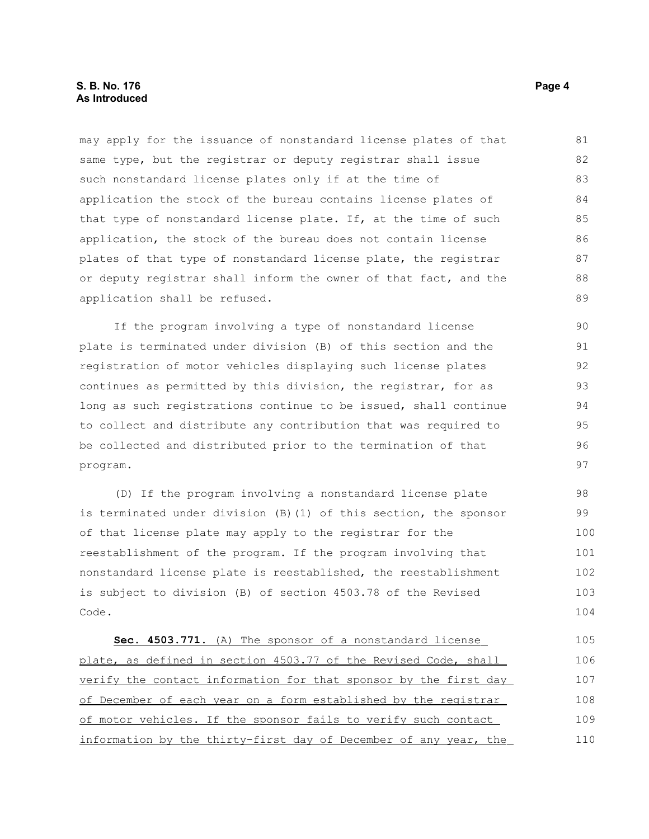## **S. B. No. 176 Page 4 As Introduced**

may apply for the issuance of nonstandard license plates of that same type, but the registrar or deputy registrar shall issue such nonstandard license plates only if at the time of application the stock of the bureau contains license plates of that type of nonstandard license plate. If, at the time of such application, the stock of the bureau does not contain license plates of that type of nonstandard license plate, the registrar or deputy registrar shall inform the owner of that fact, and the application shall be refused. 81 82 83 84 85 86 87 88 89

If the program involving a type of nonstandard license plate is terminated under division (B) of this section and the registration of motor vehicles displaying such license plates continues as permitted by this division, the registrar, for as long as such registrations continue to be issued, shall continue to collect and distribute any contribution that was required to be collected and distributed prior to the termination of that program.

(D) If the program involving a nonstandard license plate is terminated under division (B)(1) of this section, the sponsor of that license plate may apply to the registrar for the reestablishment of the program. If the program involving that nonstandard license plate is reestablished, the reestablishment is subject to division (B) of section 4503.78 of the Revised Code. 98 99 100 101 102 103 104

 **Sec. 4503.771.** (A) The sponsor of a nonstandard license plate, as defined in section 4503.77 of the Revised Code, shall verify the contact information for that sponsor by the first day of December of each year on a form established by the registrar of motor vehicles. If the sponsor fails to verify such contact information by the thirty-first day of December of any year, the 105 106 107 108 109 110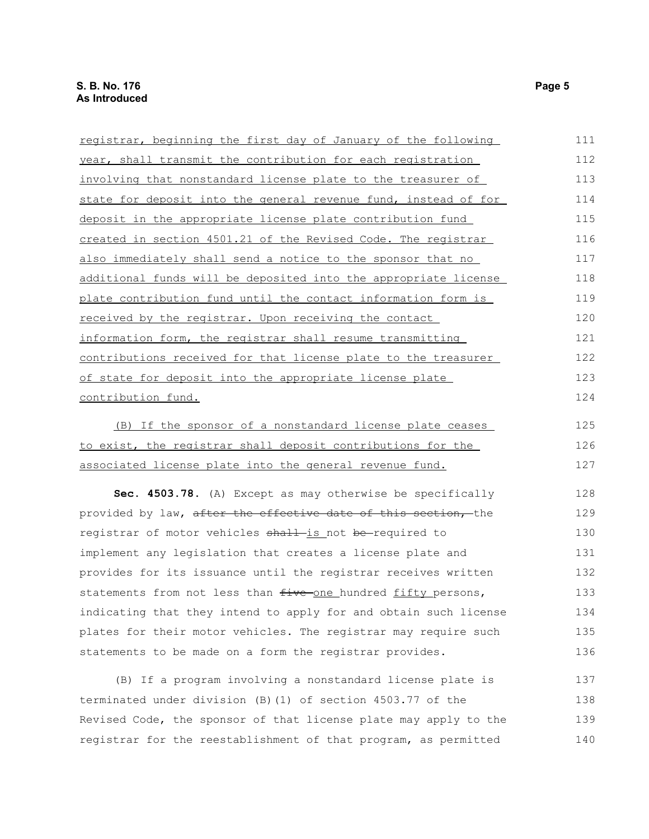| registrar, beginning the first day of January of the following  | 111 |
|-----------------------------------------------------------------|-----|
| year, shall transmit the contribution for each registration     | 112 |
| involving that nonstandard license plate to the treasurer of    | 113 |
| state for deposit into the general revenue fund, instead of for | 114 |
| deposit in the appropriate license plate contribution fund      | 115 |
| created in section 4501.21 of the Revised Code. The registrar   | 116 |
| also immediately shall send a notice to the sponsor that no     | 117 |
| additional funds will be deposited into the appropriate license | 118 |
| plate contribution fund until the contact information form is   | 119 |
| received by the registrar. Upon receiving the contact           | 120 |
| information form, the registrar shall resume transmitting       | 121 |
| contributions received for that license plate to the treasurer  | 122 |
| of state for deposit into the appropriate license plate         | 123 |
| contribution fund.                                              | 124 |
| (B) If the sponsor of a nonstandard license plate ceases        | 125 |
| to exist, the registrar shall deposit contributions for the     | 126 |

associated license plate into the general revenue fund. 127

**Sec. 4503.78.** (A) Except as may otherwise be specifically provided by law, after the effective date of this section, the registrar of motor vehicles shall-is not be-required to implement any legislation that creates a license plate and provides for its issuance until the registrar receives written statements from not less than five one hundred fifty persons, indicating that they intend to apply for and obtain such license plates for their motor vehicles. The registrar may require such statements to be made on a form the registrar provides. 128 129 130 131 132 133 134 135 136

(B) If a program involving a nonstandard license plate is terminated under division (B)(1) of section 4503.77 of the Revised Code, the sponsor of that license plate may apply to the registrar for the reestablishment of that program, as permitted 137 138 139 140